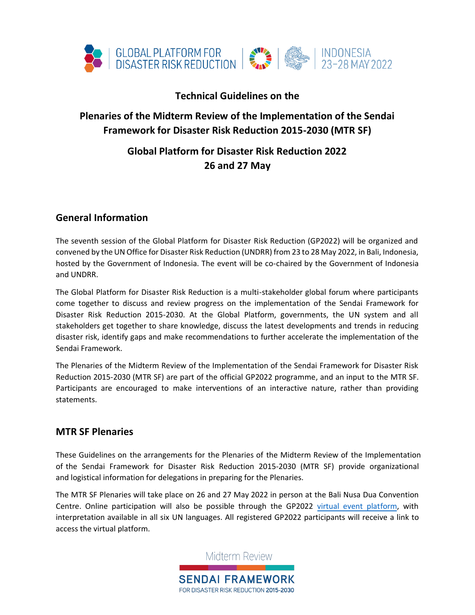

## **Technical Guidelines on the**

## **Plenaries of the Midterm Review of the Implementation of the Sendai Framework for Disaster Risk Reduction 2015-2030 (MTR SF)**

# **Global Platform for Disaster Risk Reduction 2022 26 and 27 May**

## **General Information**

The seventh session of the Global Platform for Disaster Risk Reduction (GP2022) will be organized and convened by the UN Office for Disaster Risk Reduction (UNDRR) from 23 to 28 May 2022, in Bali, Indonesia, hosted by the Government of Indonesia. The event will be co-chaired by the Government of Indonesia and UNDRR.

The Global Platform for Disaster Risk Reduction is a multi-stakeholder global forum where participants come together to discuss and review progress on the implementation of the Sendai Framework for Disaster Risk Reduction 2015-2030. At the Global Platform, governments, the UN system and all stakeholders get together to share knowledge, discuss the latest developments and trends in reducing disaster risk, identify gaps and make recommendations to further accelerate the implementation of the Sendai Framework.

The Plenaries of the Midterm Review of the Implementation of the Sendai Framework for Disaster Risk Reduction 2015-2030 (MTR SF) are part of the official GP2022 programme, and an input to the MTR SF. Participants are encouraged to make interventions of an interactive nature, rather than providing statements.

### **MTR SF Plenaries**

These Guidelines on the arrangements for the Plenaries of the Midterm Review of the Implementation of the Sendai Framework for Disaster Risk Reduction 2015-2030 (MTR SF) provide organizational and logistical information for delegations in preparing for the Plenaries.

The MTR SF Plenaries will take place on 26 and 27 May 2022 in person at the Bali Nusa Dua Convention Centre. Online participation will also be possible through the GP2022 virtual event [platform,](https://globalplatform.undrr.org/practical-information/conference-format) with interpretation available in all six UN languages. All registered GP2022 participants will receive a link to access the virtual platform.



Midterm Review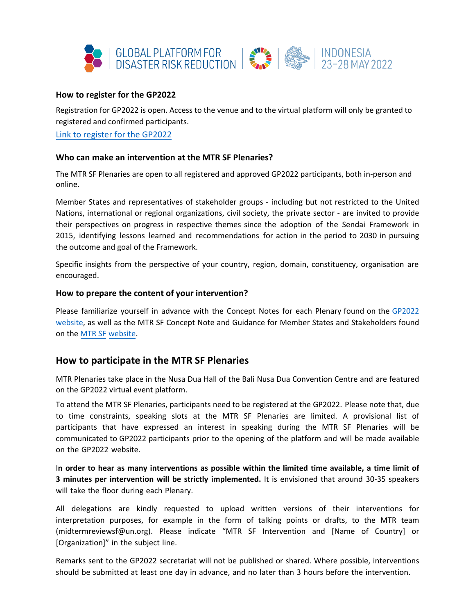

#### **How to register for the GP2022**

Registration for GP2022 is open. Access to the venue and to the virtual platform will only be granted to [registered and confirmed participa](https://indico.un.org/event/1000247/)nts.

Link to register for the GP2022

#### **Who can make an intervention at the MTR SF Plenaries?**

The MTR SF Plenaries are open to all registered and approved GP2022 participants, both in-person and online.

Member States and representatives of stakeholder groups - including but not restricted to the United Nations, international or regional organizations, civil society, the private sector - are invited to provide their perspectives on progress in respective themes since the adoption of the Sendai Framework in 2015, identifying lessons learned and recommendations for action in the period to 2030 in pursuing the outcome and goal of the Framework.

Specific insights from the perspective of your country, region, domain, constituency, organisation are encouraged.

#### **How to prepare the content of your intervention?**

[Please fa](https://sendaiframework-mtr.undrr.org/)miliarize yourself in advance with the Concept Notes for each Plenary found on the GP2022 website, [as well as the MTR SF Concept Note and Guidance for Member States and Stakeholders found](https://globalplatform.undrr.org/conference-event/midterm-review-plenary-1) on the MTR SF website.

### **How to participate in the MTR SF Plenaries**

MTR Plenaries take place in the Nusa Dua Hall of the Bali Nusa Dua Convention Centre and are featured on the GP2022 virtual event platform.

To attend the MTR SF Plenaries, participants need to be registered at the GP2022. Please note that, due to time constraints, speaking slots at the MTR SF Plenaries are limited. A provisional list of participants that have expressed an interest in speaking during the MTR SF Plenaries will be communicated to GP2022 participants prior to the opening of the platform and will be made available on the GP2022 website.

I**n order to hear as many interventions as possible within the limited time available, a time limit of 3 minutes per intervention will be strictly implemented.** It is envisioned that around 30-35 speakers will take the floor during each Plenary.

All delegations are kindly requested to upload written versions of their interventions for interpretation purposes, for example in the form of talking points or drafts, to the MTR team (midtermreviewsf@un.org). Please indicate "MTR SF Intervention and [Name of Country] or [Organization]" in the subject line.

Remarks sent to the GP2022 secretariat will not be published or shared. Where possible, interventions should be submitted at least one day in advance, and no later than 3 hours before the intervention.